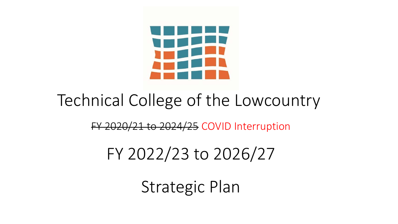

#### Technical College of the Lowcountry

#### FY 2020/21 to 2024/25 COVID Interruption

#### FY 2022/23 to 2026/27

Strategic Plan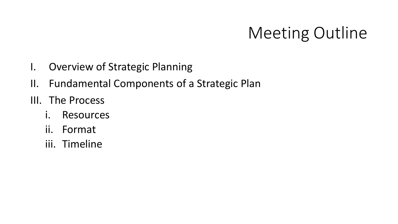#### Meeting Outline

- I. Overview of Strategic Planning
- II. Fundamental Components of a Strategic Plan
- III. The Process
	- i. Resources
	- ii. Format
	- iii. Timeline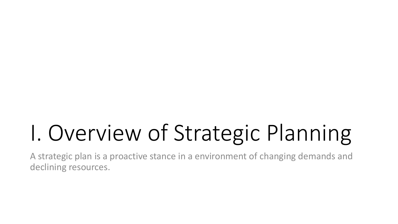# I. Overview of Strategic Planning

A strategic plan is a proactive stance in a environment of changing demands and declining resources.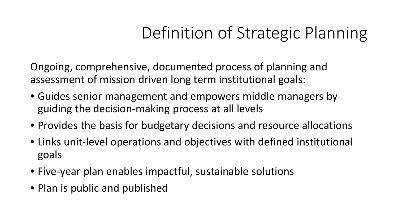### Definition of Strategic Planning

Ongoing, comprehensive, documented process of planning and assessment of mission driven long term institutional goals:

- Guides senior management and empowers middle managers by guiding the decision-making process at all levels
- Provides the basis for budgetary decisions and resource allocations
- Links unit-level operations and objectives with defined institutional goals
- Five-year plan enables impactful, sustainable solutions
- Plan is public and published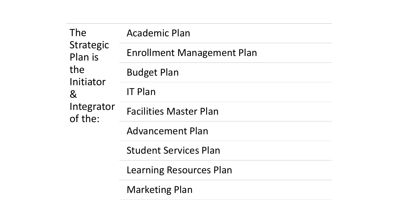| The<br>Strategic<br>Plan is<br>the<br>Initiator<br>8 <sup>0</sup><br>Integrator<br>of the: | <b>Academic Plan</b>              |
|--------------------------------------------------------------------------------------------|-----------------------------------|
|                                                                                            | <b>Enrollment Management Plan</b> |
|                                                                                            | <b>Budget Plan</b>                |
|                                                                                            | <b>IT Plan</b>                    |
|                                                                                            | <b>Facilities Master Plan</b>     |
|                                                                                            | <b>Advancement Plan</b>           |
|                                                                                            | <b>Student Services Plan</b>      |
|                                                                                            | Learning Resources Plan           |
|                                                                                            | <b>Marketing Plan</b>             |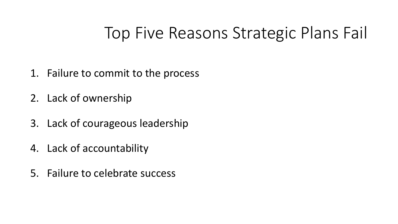#### Top Five Reasons Strategic Plans Fail

- 1. Failure to commit to the process
- 2. Lack of ownership
- 3. Lack of courageous leadership
- 4. Lack of accountability
- 5. Failure to celebrate success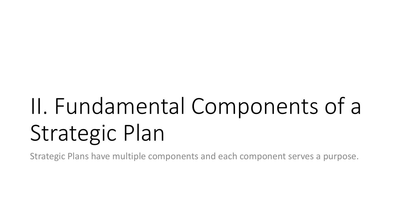# II. Fundamental Components of a Strategic Plan

Strategic Plans have multiple components and each component serves a purpose.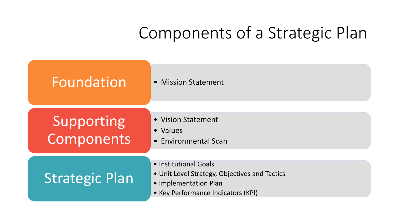### Components of a Strategic Plan

| Foundation               | • Mission Statement                                                                                                                   |
|--------------------------|---------------------------------------------------------------------------------------------------------------------------------------|
| Supporting<br>Components | • Vision Statement<br>• Values<br>• Environmental Scan                                                                                |
| <b>Strategic Plan</b>    | • Institutional Goals<br>• Unit Level Strategy, Objectives and Tactics<br>• Implementation Plan<br>• Key Performance Indicators (KPI) |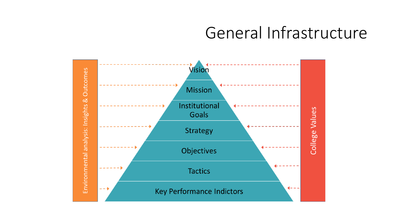#### General Infrastructure

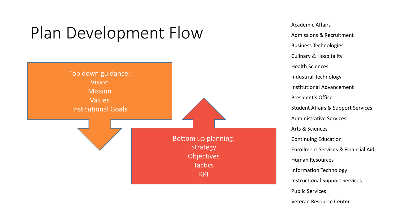### Plan Development Flow Academic Affairs



Admissions & Recruitment Business Technologies Culinary & Hospitality Health Sciences Industrial Technology Institutional Advancement President's Office Student Affairs & Support Services Administrative Services Arts & Sciences Continuing Education Enrollment Services & Financial Aid Human Resources Information Technology Instructional Support Services Public Services Veteran Resource Center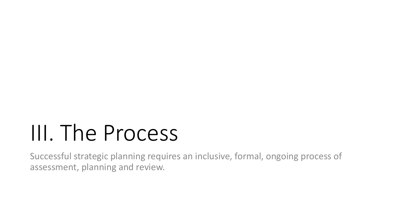## III. The Process

Successful strategic planning requires an inclusive, formal, ongoing process of assessment, planning and review.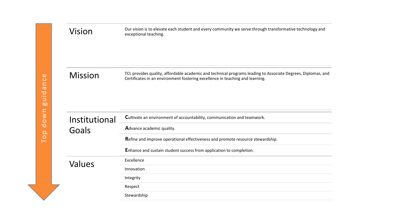| Vision         | Our vision is to elevate each student and every community we serve through transformative technology and<br>exceptional teaching.                                                             |  |  |  |  |  |
|----------------|-----------------------------------------------------------------------------------------------------------------------------------------------------------------------------------------------|--|--|--|--|--|
| <b>Mission</b> | TCL provides quality, affordable academic and technical programs leading to Associate Degrees, Diplomas, and<br>Certificates in an environment fostering excellence in teaching and learning. |  |  |  |  |  |
| Institutional  | Cultivate an environment of accountability, communication and teamwork.                                                                                                                       |  |  |  |  |  |
| Goals          | Advance academic quality.                                                                                                                                                                     |  |  |  |  |  |
|                | Refine and improve operational effectiveness and promote resource stewardship.                                                                                                                |  |  |  |  |  |
|                | Enhance and sustain student success from application to completion.                                                                                                                           |  |  |  |  |  |
| Values         | Excellence                                                                                                                                                                                    |  |  |  |  |  |
|                | Innovation                                                                                                                                                                                    |  |  |  |  |  |
|                | Integrity                                                                                                                                                                                     |  |  |  |  |  |
|                | Respect                                                                                                                                                                                       |  |  |  |  |  |
|                | Stewardship                                                                                                                                                                                   |  |  |  |  |  |
|                |                                                                                                                                                                                               |  |  |  |  |  |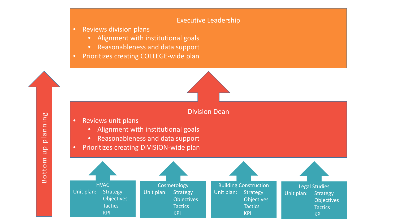#### Executive Leadership

• Reviews division plans

Bottom up planning

otto

 $\Omega$ 

 $\Omega$  $\Box$  $\mathsf E$ 

**bo** 

plannin

- Alignment with institutional goals
- Reasonableness and data support
- Prioritizes creating COLLEGE-wide plan

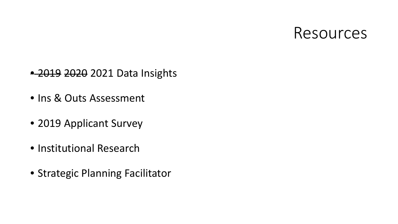#### Resources

- 2019 2020 2021 Data Insights
- Ins & Outs Assessment
- 2019 Applicant Survey
- Institutional Research
- Strategic Planning Facilitator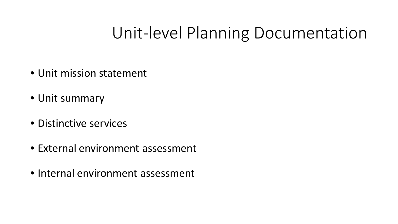#### Unit-level Planning Documentation

- Unit mission statement
- Unit summary
- Distinctive services
- External environment assessment
- Internal environment assessment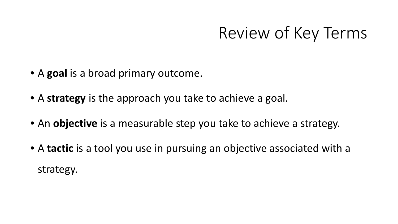#### Review of Key Terms

- A **goal** is a broad primary outcome.
- A **strategy** is the approach you take to achieve a goal.
- An **objective** is a measurable step you take to achieve a strategy.
- A **tactic** is a tool you use in pursuing an objective associated with a strategy.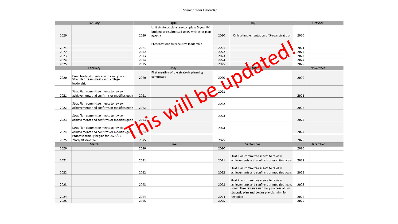| January      |                                             | April        |                                             | July         |                                              | October      |          |
|--------------|---------------------------------------------|--------------|---------------------------------------------|--------------|----------------------------------------------|--------------|----------|
|              |                                             |              | Unit strategic plans are complete 5-year FY |              |                                              |              |          |
|              |                                             |              | budgets are submitted to BO with strat plan |              |                                              |              |          |
| 2020         |                                             | 2020         | backup                                      | 2020         | Official implementation of 5-year strat plan | 2020         |          |
|              |                                             |              |                                             |              |                                              |              |          |
|              |                                             |              | Presentations to executive leadership       |              |                                              |              |          |
| 2021         |                                             | 2021<br>2022 |                                             | 2021<br>2022 |                                              | 2021<br>2022 |          |
| 2022<br>2023 |                                             | 2023         |                                             | 2023         |                                              | 2023         |          |
| 2024         |                                             | 2024         |                                             | 2024         |                                              | 2024         |          |
| 2025         |                                             | 2025         |                                             | 2025         |                                              | 2025         |          |
|              | February                                    |              | May                                         |              |                                              |              | November |
|              |                                             |              | First meeting of the strategic planning     |              |                                              |              |          |
| 2020         | Exec. leadership sets insitutional goals.   | 2020         | committee                                   |              |                                              | 2020         |          |
|              | Strat Plan Team meets with college          |              |                                             | 2020         |                                              |              |          |
|              | leadership.                                 |              |                                             |              |                                              |              |          |
|              |                                             |              |                                             | 2021         |                                              |              |          |
|              | Strat Plan committee meets to review        |              |                                             |              |                                              |              |          |
| 2021         | achievements and confirms or modifies goals | 2021         |                                             |              |                                              | 2021         |          |
|              | Strat Plan committee meets to review        |              |                                             | 2022         |                                              |              |          |
| 2022         | achievements and confirms or modifies goals | 2022         |                                             |              |                                              | 2022         |          |
|              |                                             |              |                                             |              |                                              |              |          |
|              | Strat Plan committee meets to review        |              |                                             | 2023         |                                              |              |          |
| 2023         | achievements and confirms or modifies goals | 2023         |                                             |              |                                              | 2023         |          |
|              |                                             |              |                                             |              |                                              |              |          |
|              | Strat Plan committee meets to review        |              |                                             | 2024         |                                              |              |          |
| 2024         | achievements and confirms or modifies goa   |              |                                             |              |                                              | 2024         |          |
|              | Process formally begins for 2025/26-        |              |                                             |              |                                              |              |          |
| 2025         | 2029/30 strat plan                          | 2025         |                                             | 2025         |                                              | 2025         |          |
|              | March                                       |              | June                                        |              | September                                    |              | December |
| 2020         |                                             | 2020         |                                             | 2020         |                                              | 2020         |          |
|              |                                             |              |                                             |              | Strat Plan committee meets to review         |              |          |
| 2021         |                                             | 2021         |                                             | 2021         | achievements and confirms or modifies goals  | 2021         |          |
|              |                                             |              |                                             |              |                                              |              |          |
|              |                                             |              |                                             |              | Strat Plan committee meets to review         |              |          |
| 2022         |                                             | 2022         |                                             | 2022         | achievements and confirms or modifies goals  | 2022         |          |
|              |                                             |              |                                             |              |                                              |              |          |
|              |                                             |              |                                             |              | Strat Plan committee meets to review         |              |          |
| 2023         |                                             | 2023         |                                             | 2023         | achievements and confirms or modifies goals  | 2023         |          |
|              |                                             |              |                                             |              | Committee reviews summary success of 5-yr    |              |          |
|              |                                             |              |                                             |              | strategic plan and begins pre-planning for   |              |          |
| 2024         |                                             | 2024         |                                             | 2024         | next plan                                    | 2024         |          |
| 2025         |                                             | 2025         |                                             | 2025         |                                              | 2025         |          |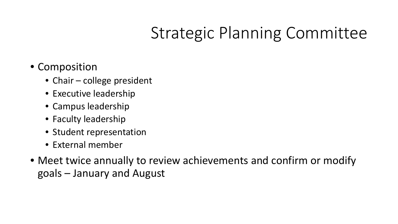### Strategic Planning Committee

- Composition
	- Chair college president
	- Executive leadership
	- Campus leadership
	- Faculty leadership
	- Student representation
	- External member
- Meet twice annually to review achievements and confirm or modify goals – January and August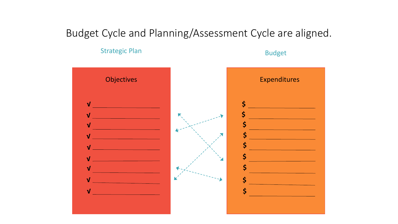#### Budget Cycle and Planning/Assessment Cycle are aligned.

Strategic Plan Budget

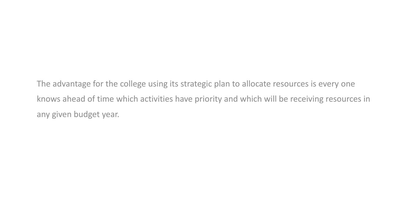The advantage for the college using its strategic plan to allocate resources is every one knows ahead of time which activities have priority and which will be receiving resources in any given budget year.